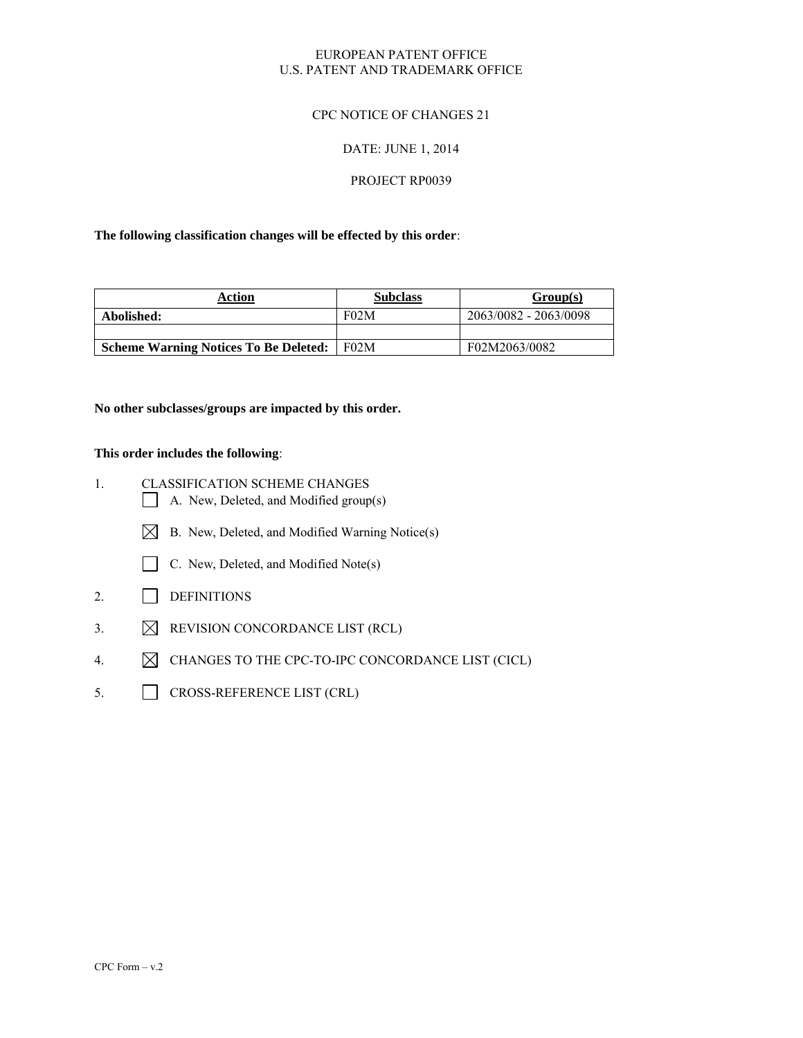#### EUROPEAN PATENT OFFICE U.S. PATENT AND TRADEMARK OFFICE

#### CPC NOTICE OF CHANGES 21

#### DATE: JUNE 1, 2014

#### PROJECT RP0039

#### **The following classification changes will be effected by this order**:

| Action                                       | <b>Subclass</b> | Group(s)              |
|----------------------------------------------|-----------------|-----------------------|
| Abolished:                                   | F02M            | 2063/0082 - 2063/0098 |
|                                              |                 |                       |
| <b>Scheme Warning Notices To Be Deleted:</b> | F02M            | F02M2063/0082         |

#### **No other subclasses/groups are impacted by this order.**

#### **This order includes the following**:

- 1. CLASSIFICATION SCHEME CHANGES A. New, Deleted, and Modified group(s)
	- $\boxtimes$  B. New, Deleted, and Modified Warning Notice(s)
	- C. New, Deleted, and Modified Note(s)
- 2. DEFINITIONS
- 3.  $\boxtimes$  REVISION CONCORDANCE LIST (RCL)
- 4.  $\boxtimes$  CHANGES TO THE CPC-TO-IPC CONCORDANCE LIST (CICL)
- 5. CROSS-REFERENCE LIST (CRL)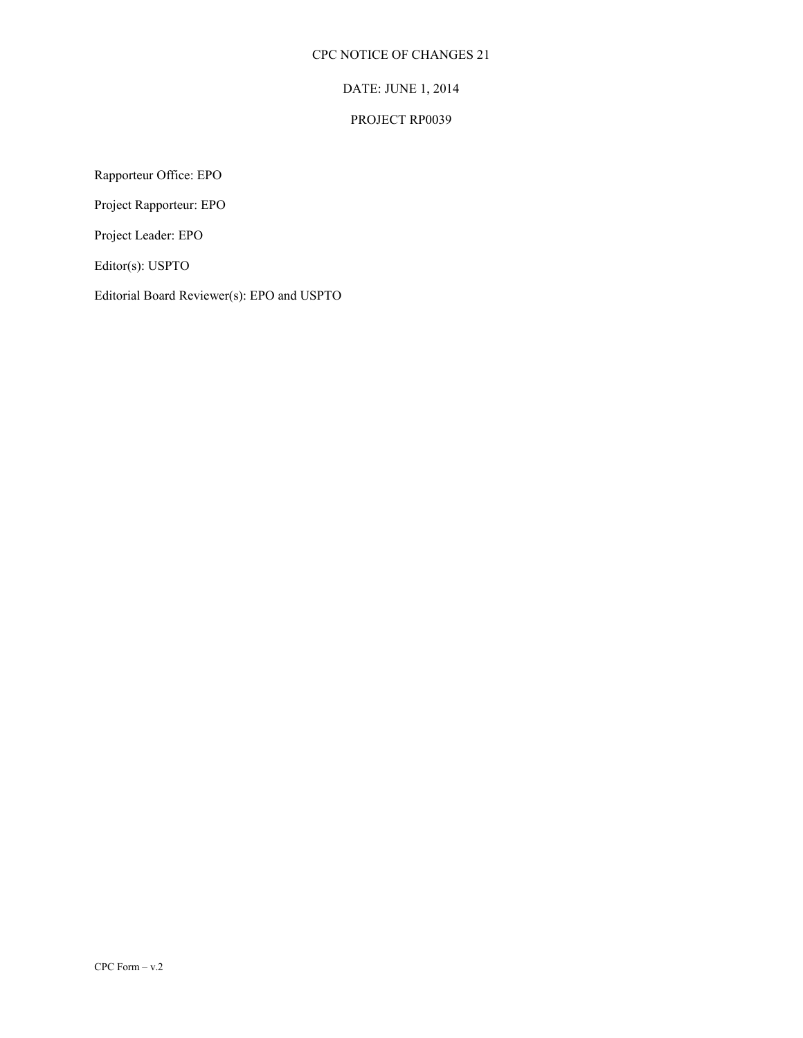### CPC NOTICE OF CHANGES 21

# DATE: JUNE 1, 2014

### PROJECT RP0039

Rapporteur Office: EPO

Project Rapporteur: EPO

Project Leader: EPO

Editor(s): USPTO

Editorial Board Reviewer(s): EPO and USPTO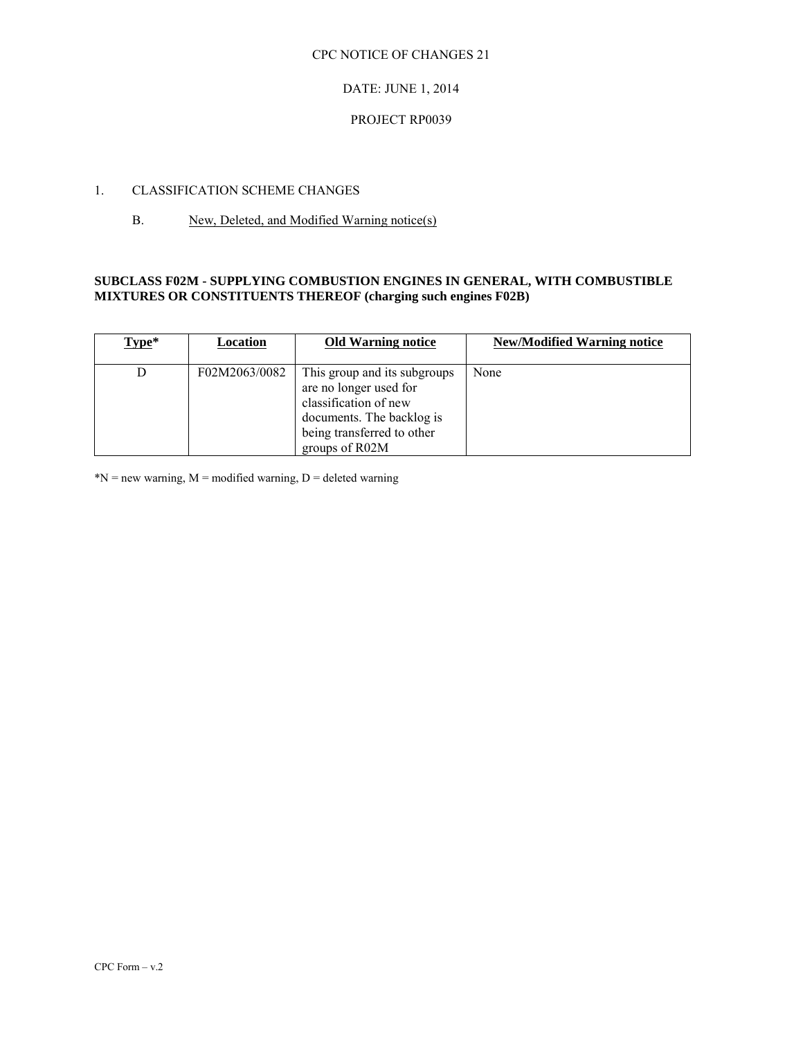#### CPC NOTICE OF CHANGES 21

#### DATE: JUNE 1, 2014

#### PROJECT RP0039

#### 1. CLASSIFICATION SCHEME CHANGES

#### B. New, Deleted, and Modified Warning notice(s)

#### **SUBCLASS F02M - SUPPLYING COMBUSTION ENGINES IN GENERAL, WITH COMBUSTIBLE MIXTURES OR CONSTITUENTS THEREOF (charging such engines F02B)**

| Type* | Location      | <b>Old Warning notice</b>                                                                                                                                    | <b>New/Modified Warning notice</b> |
|-------|---------------|--------------------------------------------------------------------------------------------------------------------------------------------------------------|------------------------------------|
|       | F02M2063/0082 | This group and its subgroups<br>are no longer used for<br>classification of new<br>documents. The backlog is<br>being transferred to other<br>groups of R02M | None                               |

 $N = new warning, M = modified warning, D = deleted warning$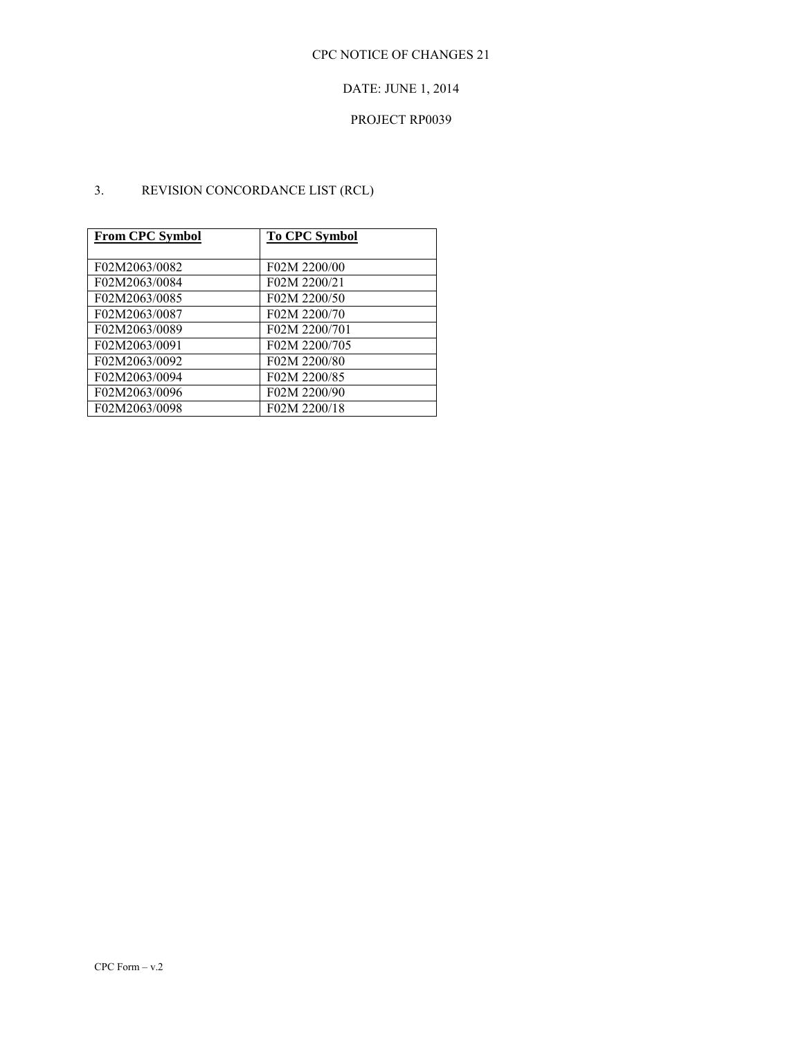# DATE: JUNE 1, 2014

### PROJECT RP0039

# 3. REVISION CONCORDANCE LIST (RCL)

| <b>From CPC Symbol</b> | <b>To CPC Symbol</b> |
|------------------------|----------------------|
|                        |                      |
| F02M2063/0082          | F02M 2200/00         |
| F02M2063/0084          | F02M 2200/21         |
| F02M2063/0085          | F02M 2200/50         |
| F02M2063/0087          | F02M 2200/70         |
| F02M2063/0089          | F02M 2200/701        |
| F02M2063/0091          | F02M 2200/705        |
| F02M2063/0092          | F02M 2200/80         |
| F02M2063/0094          | F02M 2200/85         |
| F02M2063/0096          | F02M 2200/90         |
| F02M2063/0098          | F02M 2200/18         |